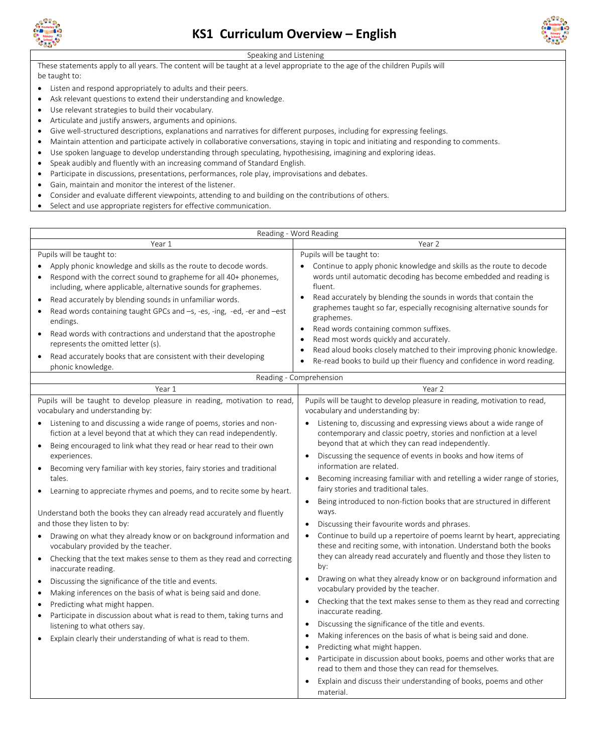



## Speaking and Listening

These statements apply to all years. The content will be taught at a level appropriate to the age of the children Pupils will be taught to:

- Listen and respond appropriately to adults and their peers.
- Ask relevant questions to extend their understanding and knowledge.
- Use relevant strategies to build their vocabulary.
- Articulate and justify answers, arguments and opinions.
- Give well-structured descriptions, explanations and narratives for different purposes, including for expressing feelings.
- Maintain attention and participate actively in collaborative conversations, staying in topic and initiating and responding to comments.
- Use spoken language to develop understanding through speculating, hypothesising, imagining and exploring ideas.
- Speak audibly and fluently with an increasing command of Standard English.
- Participate in discussions, presentations, performances, role play, improvisations and debates.
- Gain, maintain and monitor the interest of the listener.
- Consider and evaluate different viewpoints, attending to and building on the contributions of others.
- Select and use appropriate registers for effective communication.

| Reading - Word Reading                                                                                                                                                                                                                                                                                                                                                                                                                                                                                                                                                                                                                                                                                                                                                                                                                                                                                                                                                                                                                                                    |                                                                                                                                                                                                                                                                                                                                                                                                                                                                                                                                                                                                                                                                                                                                                                                                                                                                                                                                                                                                                                                                                                                                                                                                                                                                                                                                                                                                                                                                                                                   |
|---------------------------------------------------------------------------------------------------------------------------------------------------------------------------------------------------------------------------------------------------------------------------------------------------------------------------------------------------------------------------------------------------------------------------------------------------------------------------------------------------------------------------------------------------------------------------------------------------------------------------------------------------------------------------------------------------------------------------------------------------------------------------------------------------------------------------------------------------------------------------------------------------------------------------------------------------------------------------------------------------------------------------------------------------------------------------|-------------------------------------------------------------------------------------------------------------------------------------------------------------------------------------------------------------------------------------------------------------------------------------------------------------------------------------------------------------------------------------------------------------------------------------------------------------------------------------------------------------------------------------------------------------------------------------------------------------------------------------------------------------------------------------------------------------------------------------------------------------------------------------------------------------------------------------------------------------------------------------------------------------------------------------------------------------------------------------------------------------------------------------------------------------------------------------------------------------------------------------------------------------------------------------------------------------------------------------------------------------------------------------------------------------------------------------------------------------------------------------------------------------------------------------------------------------------------------------------------------------------|
| Year 1                                                                                                                                                                                                                                                                                                                                                                                                                                                                                                                                                                                                                                                                                                                                                                                                                                                                                                                                                                                                                                                                    | Year 2                                                                                                                                                                                                                                                                                                                                                                                                                                                                                                                                                                                                                                                                                                                                                                                                                                                                                                                                                                                                                                                                                                                                                                                                                                                                                                                                                                                                                                                                                                            |
| Pupils will be taught to:<br>Apply phonic knowledge and skills as the route to decode words.<br>Respond with the correct sound to grapheme for all 40+ phonemes,<br>$\bullet$<br>including, where applicable, alternative sounds for graphemes.<br>Read accurately by blending sounds in unfamiliar words.<br>$\bullet$<br>Read words containing taught GPCs and -s, -es, -ing, -ed, -er and -est<br>$\bullet$<br>endings.<br>Read words with contractions and understand that the apostrophe<br>represents the omitted letter (s).<br>Read accurately books that are consistent with their developing<br>phonic knowledge.                                                                                                                                                                                                                                                                                                                                                                                                                                               | Pupils will be taught to:<br>Continue to apply phonic knowledge and skills as the route to decode<br>words until automatic decoding has become embedded and reading is<br>fluent.<br>Read accurately by blending the sounds in words that contain the<br>graphemes taught so far, especially recognising alternative sounds for<br>graphemes.<br>Read words containing common suffixes.<br>Read most words quickly and accurately.<br>Read aloud books closely matched to their improving phonic knowledge.<br>Re-read books to build up their fluency and confidence in word reading.                                                                                                                                                                                                                                                                                                                                                                                                                                                                                                                                                                                                                                                                                                                                                                                                                                                                                                                            |
| Reading - Comprehension                                                                                                                                                                                                                                                                                                                                                                                                                                                                                                                                                                                                                                                                                                                                                                                                                                                                                                                                                                                                                                                   |                                                                                                                                                                                                                                                                                                                                                                                                                                                                                                                                                                                                                                                                                                                                                                                                                                                                                                                                                                                                                                                                                                                                                                                                                                                                                                                                                                                                                                                                                                                   |
| Year 1                                                                                                                                                                                                                                                                                                                                                                                                                                                                                                                                                                                                                                                                                                                                                                                                                                                                                                                                                                                                                                                                    | Year 2                                                                                                                                                                                                                                                                                                                                                                                                                                                                                                                                                                                                                                                                                                                                                                                                                                                                                                                                                                                                                                                                                                                                                                                                                                                                                                                                                                                                                                                                                                            |
| Pupils will be taught to develop pleasure in reading, motivation to read,<br>vocabulary and understanding by:                                                                                                                                                                                                                                                                                                                                                                                                                                                                                                                                                                                                                                                                                                                                                                                                                                                                                                                                                             | Pupils will be taught to develop pleasure in reading, motivation to read,<br>vocabulary and understanding by:                                                                                                                                                                                                                                                                                                                                                                                                                                                                                                                                                                                                                                                                                                                                                                                                                                                                                                                                                                                                                                                                                                                                                                                                                                                                                                                                                                                                     |
| Listening to and discussing a wide range of poems, stories and non-<br>fiction at a level beyond that at which they can read independently.<br>Being encouraged to link what they read or hear read to their own<br>experiences.<br>Becoming very familiar with key stories, fairy stories and traditional<br>tales.<br>Learning to appreciate rhymes and poems, and to recite some by heart.<br>Understand both the books they can already read accurately and fluently<br>and those they listen to by:<br>Drawing on what they already know or on background information and<br>vocabulary provided by the teacher.<br>Checking that the text makes sense to them as they read and correcting<br>$\bullet$<br>inaccurate reading.<br>Discussing the significance of the title and events.<br>Making inferences on the basis of what is being said and done.<br>Predicting what might happen.<br>Participate in discussion about what is read to them, taking turns and<br>listening to what others say.<br>Explain clearly their understanding of what is read to them. | Listening to, discussing and expressing views about a wide range of<br>contemporary and classic poetry, stories and nonfiction at a level<br>beyond that at which they can read independently.<br>Discussing the sequence of events in books and how items of<br>$\bullet$<br>information are related.<br>Becoming increasing familiar with and retelling a wider range of stories,<br>$\bullet$<br>fairy stories and traditional tales.<br>Being introduced to non-fiction books that are structured in different<br>$\bullet$<br>ways.<br>Discussing their favourite words and phrases.<br>٠<br>Continue to build up a repertoire of poems learnt by heart, appreciating<br>these and reciting some, with intonation. Understand both the books<br>they can already read accurately and fluently and those they listen to<br>by:<br>Drawing on what they already know or on background information and<br>$\bullet$<br>vocabulary provided by the teacher.<br>Checking that the text makes sense to them as they read and correcting<br>$\bullet$<br>inaccurate reading.<br>Discussing the significance of the title and events.<br>$\bullet$<br>Making inferences on the basis of what is being said and done.<br>$\bullet$<br>Predicting what might happen.<br>٠<br>Participate in discussion about books, poems and other works that are<br>$\bullet$<br>read to them and those they can read for themselves.<br>Explain and discuss their understanding of books, poems and other<br>$\bullet$<br>material. |